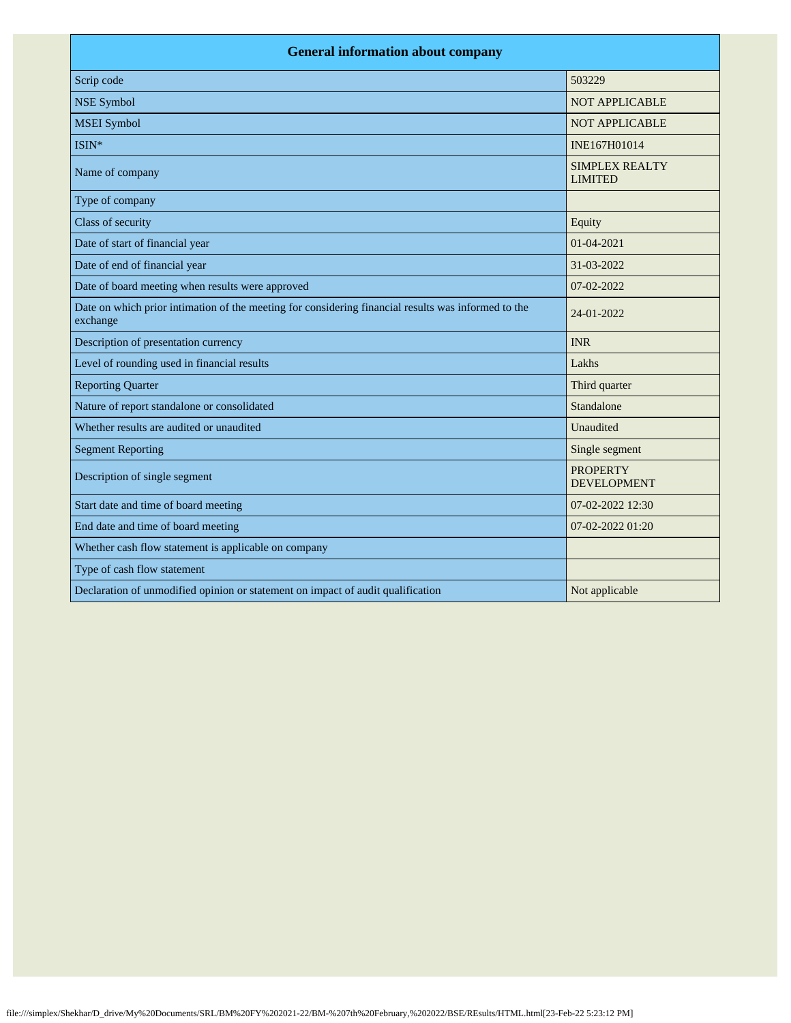| <b>General information about company</b>                                                                        |                                         |  |
|-----------------------------------------------------------------------------------------------------------------|-----------------------------------------|--|
| Scrip code                                                                                                      | 503229                                  |  |
| <b>NSE Symbol</b>                                                                                               | <b>NOT APPLICABLE</b>                   |  |
| <b>MSEI</b> Symbol                                                                                              | <b>NOT APPLICABLE</b>                   |  |
| ISIN*                                                                                                           | INE167H01014                            |  |
| Name of company                                                                                                 | <b>SIMPLEX REALTY</b><br><b>LIMITED</b> |  |
| Type of company                                                                                                 |                                         |  |
| Class of security                                                                                               | Equity                                  |  |
| Date of start of financial year                                                                                 | 01-04-2021                              |  |
| Date of end of financial year                                                                                   | 31-03-2022                              |  |
| Date of board meeting when results were approved                                                                | 07-02-2022                              |  |
| Date on which prior intimation of the meeting for considering financial results was informed to the<br>exchange | 24-01-2022                              |  |
| Description of presentation currency                                                                            | <b>INR</b>                              |  |
| Level of rounding used in financial results                                                                     | Lakhs                                   |  |
| <b>Reporting Quarter</b>                                                                                        | Third quarter                           |  |
| Nature of report standalone or consolidated                                                                     | Standalone                              |  |
| Whether results are audited or unaudited                                                                        | Unaudited                               |  |
| <b>Segment Reporting</b>                                                                                        | Single segment                          |  |
| Description of single segment                                                                                   | <b>PROPERTY</b><br><b>DEVELOPMENT</b>   |  |
| Start date and time of board meeting                                                                            | 07-02-2022 12:30                        |  |
| End date and time of board meeting                                                                              | 07-02-2022 01:20                        |  |
| Whether cash flow statement is applicable on company                                                            |                                         |  |
| Type of cash flow statement                                                                                     |                                         |  |
| Declaration of unmodified opinion or statement on impact of audit qualification                                 | Not applicable                          |  |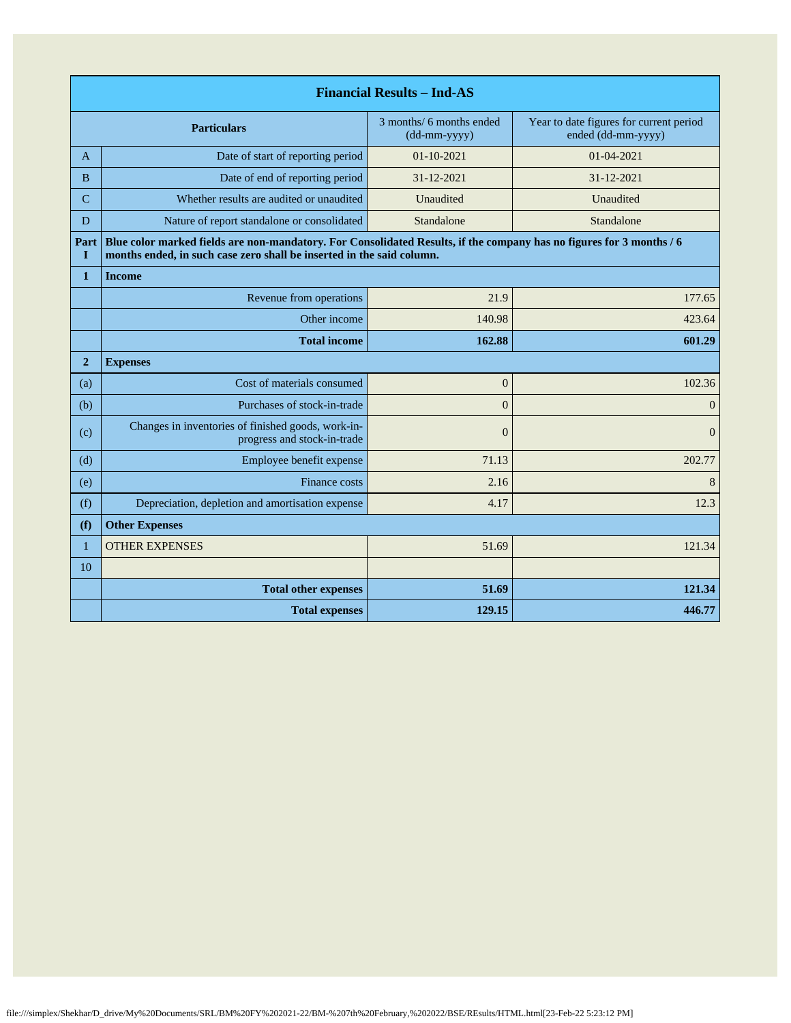| <b>Financial Results - Ind-AS</b> |                                                                                                                                                                                               |                                          |                                                               |
|-----------------------------------|-----------------------------------------------------------------------------------------------------------------------------------------------------------------------------------------------|------------------------------------------|---------------------------------------------------------------|
|                                   | <b>Particulars</b>                                                                                                                                                                            | 3 months/ 6 months ended<br>(dd-mm-yyyy) | Year to date figures for current period<br>ended (dd-mm-yyyy) |
| A                                 | Date of start of reporting period                                                                                                                                                             | $01 - 10 - 2021$                         | 01-04-2021                                                    |
| <sub>B</sub>                      | Date of end of reporting period                                                                                                                                                               | 31-12-2021                               | 31-12-2021                                                    |
| $\overline{C}$                    | Whether results are audited or unaudited                                                                                                                                                      | Unaudited                                | Unaudited                                                     |
| D                                 | Nature of report standalone or consolidated                                                                                                                                                   | Standalone                               | Standalone                                                    |
| Part<br>L                         | Blue color marked fields are non-mandatory. For Consolidated Results, if the company has no figures for 3 months / 6<br>months ended, in such case zero shall be inserted in the said column. |                                          |                                                               |
| $\mathbf{1}$                      | <b>Income</b>                                                                                                                                                                                 |                                          |                                                               |
|                                   | Revenue from operations                                                                                                                                                                       | 21.9                                     | 177.65                                                        |
|                                   | Other income                                                                                                                                                                                  | 140.98                                   | 423.64                                                        |
|                                   | <b>Total income</b>                                                                                                                                                                           | 162.88                                   | 601.29                                                        |
| $\overline{2}$                    | <b>Expenses</b>                                                                                                                                                                               |                                          |                                                               |
| (a)                               | Cost of materials consumed                                                                                                                                                                    | $\mathbf{0}$                             | 102.36                                                        |
| (b)                               | Purchases of stock-in-trade                                                                                                                                                                   | $\Omega$                                 | $\mathbf{0}$                                                  |
| (c)                               | Changes in inventories of finished goods, work-in-<br>progress and stock-in-trade                                                                                                             | $\overline{0}$                           | $\overline{0}$                                                |
| (d)                               | Employee benefit expense                                                                                                                                                                      | 71.13                                    | 202.77                                                        |
| (e)                               | Finance costs                                                                                                                                                                                 | 2.16                                     | 8                                                             |
| (f)                               | Depreciation, depletion and amortisation expense                                                                                                                                              | 4.17                                     | 12.3                                                          |
| (f)                               | <b>Other Expenses</b>                                                                                                                                                                         |                                          |                                                               |
| $\mathbf{1}$                      | <b>OTHER EXPENSES</b>                                                                                                                                                                         | 51.69                                    | 121.34                                                        |
| 10                                |                                                                                                                                                                                               |                                          |                                                               |
|                                   | <b>Total other expenses</b>                                                                                                                                                                   | 51.69                                    | 121.34                                                        |
|                                   | <b>Total expenses</b>                                                                                                                                                                         | 129.15                                   | 446.77                                                        |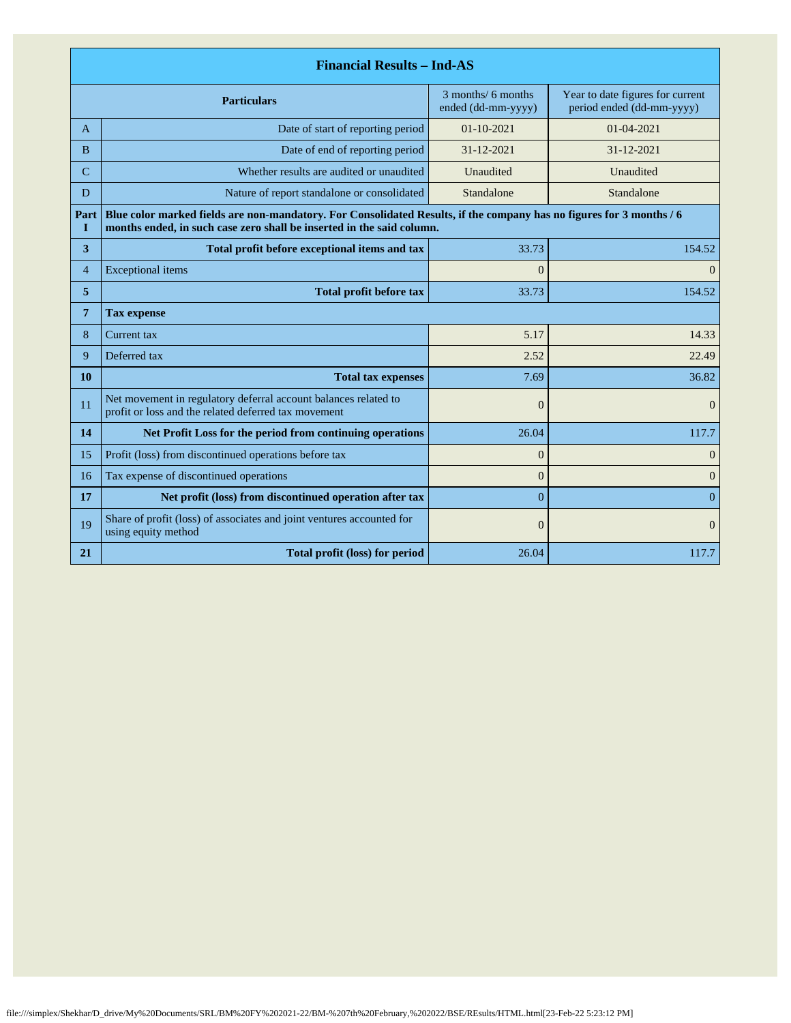| <b>Financial Results - Ind-AS</b> |                                                                                                                                                                                               |                                          |                                                               |  |
|-----------------------------------|-----------------------------------------------------------------------------------------------------------------------------------------------------------------------------------------------|------------------------------------------|---------------------------------------------------------------|--|
|                                   | <b>Particulars</b>                                                                                                                                                                            | 3 months/ 6 months<br>ended (dd-mm-yyyy) | Year to date figures for current<br>period ended (dd-mm-yyyy) |  |
| A                                 | Date of start of reporting period                                                                                                                                                             | $01 - 10 - 2021$                         | $01 - 04 - 2021$                                              |  |
| <sub>B</sub>                      | Date of end of reporting period                                                                                                                                                               | 31-12-2021                               | 31-12-2021                                                    |  |
| C                                 | Whether results are audited or unaudited                                                                                                                                                      | Unaudited                                | Unaudited                                                     |  |
| D                                 | Nature of report standalone or consolidated                                                                                                                                                   | Standalone                               | Standalone                                                    |  |
| Part<br>1                         | Blue color marked fields are non-mandatory. For Consolidated Results, if the company has no figures for 3 months / 6<br>months ended, in such case zero shall be inserted in the said column. |                                          |                                                               |  |
| 3                                 | Total profit before exceptional items and tax                                                                                                                                                 | 33.73                                    | 154.52                                                        |  |
| $\overline{4}$                    | <b>Exceptional</b> items                                                                                                                                                                      | $\Omega$                                 | $\Omega$                                                      |  |
| 5                                 | <b>Total profit before tax</b>                                                                                                                                                                | 33.73<br>154.52                          |                                                               |  |
| 7                                 | <b>Tax expense</b>                                                                                                                                                                            |                                          |                                                               |  |
| 8                                 | Current tax                                                                                                                                                                                   | 5.17                                     | 14.33                                                         |  |
| 9                                 | Deferred tax                                                                                                                                                                                  | 2.52                                     | 22.49                                                         |  |
| 10                                | <b>Total tax expenses</b>                                                                                                                                                                     | 7.69                                     | 36.82                                                         |  |
| 11                                | Net movement in regulatory deferral account balances related to<br>profit or loss and the related deferred tax movement                                                                       | $\overline{0}$                           | $\overline{0}$                                                |  |
| 14                                | Net Profit Loss for the period from continuing operations                                                                                                                                     | 26.04                                    | 117.7                                                         |  |
| 15                                | Profit (loss) from discontinued operations before tax                                                                                                                                         | $\overline{0}$                           | $\overline{0}$                                                |  |
| 16                                | Tax expense of discontinued operations                                                                                                                                                        | $\overline{0}$                           | $\mathbf{0}$                                                  |  |
| 17                                | Net profit (loss) from discontinued operation after tax                                                                                                                                       | $\overline{0}$                           | $\Omega$                                                      |  |
| 19                                | Share of profit (loss) of associates and joint ventures accounted for<br>using equity method                                                                                                  | $\overline{0}$                           | $\Omega$                                                      |  |
| 21                                | Total profit (loss) for period                                                                                                                                                                | 26.04                                    | 117.7                                                         |  |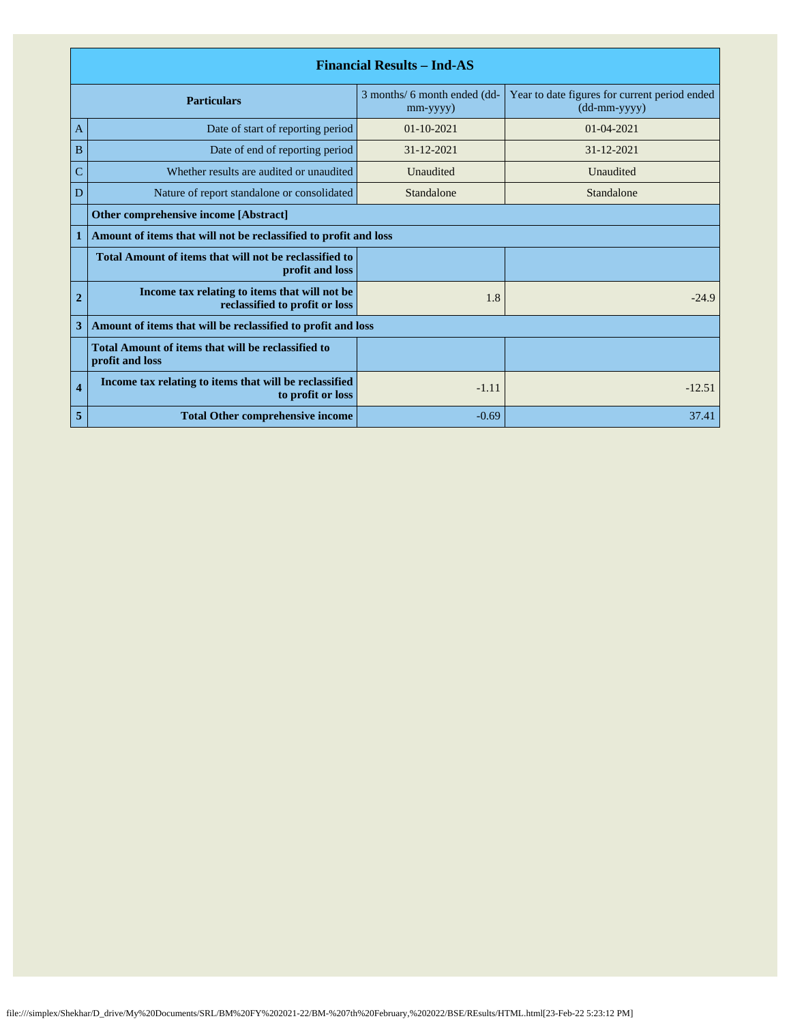| <b>Financial Results - Ind-AS</b> |                                                                                 |                                                |                                                               |
|-----------------------------------|---------------------------------------------------------------------------------|------------------------------------------------|---------------------------------------------------------------|
|                                   | <b>Particulars</b>                                                              | 3 months/ 6 month ended (dd-<br>$mm$ -yyyy $)$ | Year to date figures for current period ended<br>(dd-mm-yyyy) |
| $\mathbf{A}$                      | Date of start of reporting period                                               | $01 - 10 - 2021$                               | 01-04-2021                                                    |
| B                                 | Date of end of reporting period                                                 | $31 - 12 - 2021$                               | $31 - 12 - 2021$                                              |
| C                                 | Whether results are audited or unaudited                                        | Unaudited                                      | Unaudited                                                     |
| D                                 | Nature of report standalone or consolidated                                     | Standalone                                     | Standalone                                                    |
|                                   | <b>Other comprehensive income [Abstract]</b>                                    |                                                |                                                               |
|                                   | Amount of items that will not be reclassified to profit and loss                |                                                |                                                               |
|                                   | Total Amount of items that will not be reclassified to<br>profit and loss       |                                                |                                                               |
| $\overline{2}$                    | Income tax relating to items that will not be<br>reclassified to profit or loss | 1.8                                            | $-24.9$                                                       |
| 3                                 | Amount of items that will be reclassified to profit and loss                    |                                                |                                                               |
|                                   | Total Amount of items that will be reclassified to<br>profit and loss           |                                                |                                                               |
| $\overline{\bf{4}}$               | Income tax relating to items that will be reclassified<br>to profit or loss     | $-1.11$                                        | $-12.51$                                                      |
| 5                                 | <b>Total Other comprehensive income</b>                                         | $-0.69$                                        | 37.41                                                         |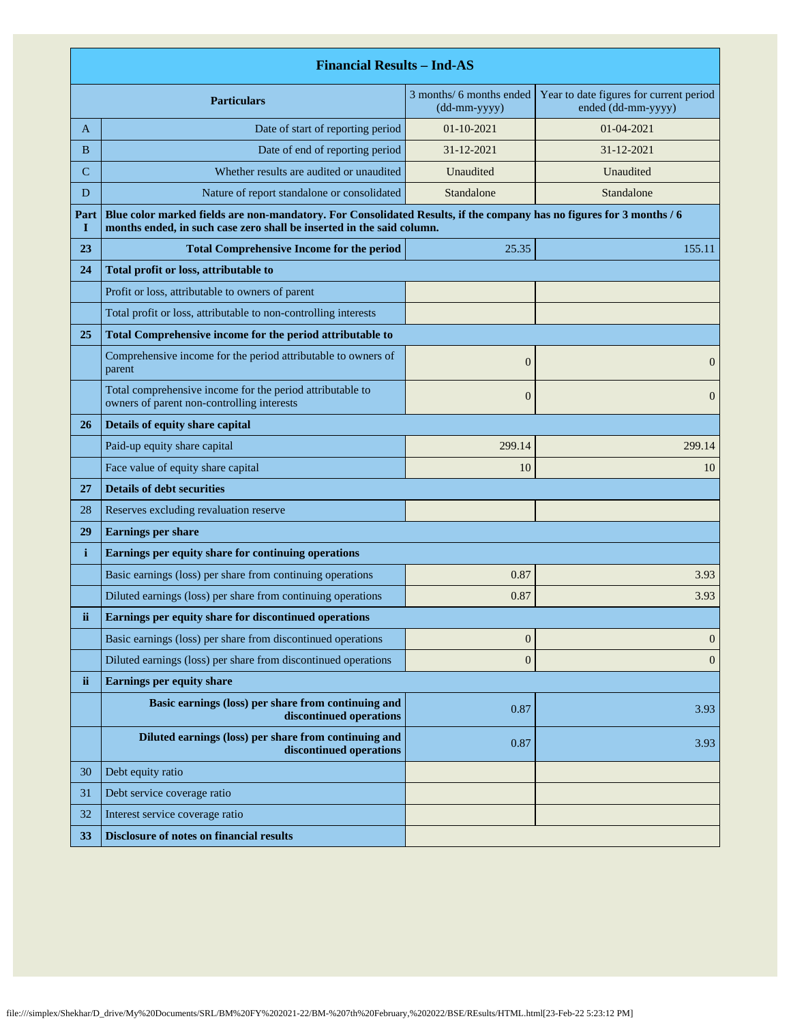|             | <b>Financial Results - Ind-AS</b>                                                                                                                                                             |                                                                  |                                                               |  |
|-------------|-----------------------------------------------------------------------------------------------------------------------------------------------------------------------------------------------|------------------------------------------------------------------|---------------------------------------------------------------|--|
|             | <b>Particulars</b>                                                                                                                                                                            | 3 months/ 6 months ended<br>$(dd{\text{-}\!\!\,\text{mm-}}yyyy)$ | Year to date figures for current period<br>ended (dd-mm-yyyy) |  |
| A           | Date of start of reporting period                                                                                                                                                             | $01 - 10 - 2021$                                                 | 01-04-2021                                                    |  |
| B           | Date of end of reporting period                                                                                                                                                               | 31-12-2021                                                       | 31-12-2021                                                    |  |
| $\mathbf C$ | Whether results are audited or unaudited                                                                                                                                                      | Unaudited                                                        | Unaudited                                                     |  |
| D           | Nature of report standalone or consolidated                                                                                                                                                   | Standalone                                                       | Standalone                                                    |  |
| Part<br>1   | Blue color marked fields are non-mandatory. For Consolidated Results, if the company has no figures for 3 months / 6<br>months ended, in such case zero shall be inserted in the said column. |                                                                  |                                                               |  |
| 23          | <b>Total Comprehensive Income for the period</b>                                                                                                                                              | 25.35                                                            | 155.11                                                        |  |
| 24          | Total profit or loss, attributable to                                                                                                                                                         |                                                                  |                                                               |  |
|             | Profit or loss, attributable to owners of parent                                                                                                                                              |                                                                  |                                                               |  |
|             | Total profit or loss, attributable to non-controlling interests                                                                                                                               |                                                                  |                                                               |  |
| 25          | Total Comprehensive income for the period attributable to                                                                                                                                     |                                                                  |                                                               |  |
|             | Comprehensive income for the period attributable to owners of<br>parent                                                                                                                       | $\boldsymbol{0}$                                                 | $\mathbf{0}$                                                  |  |
|             | Total comprehensive income for the period attributable to<br>owners of parent non-controlling interests                                                                                       | $\overline{0}$                                                   | $\mathbf{0}$                                                  |  |
| 26          | Details of equity share capital                                                                                                                                                               |                                                                  |                                                               |  |
|             | Paid-up equity share capital                                                                                                                                                                  | 299.14                                                           | 299.14                                                        |  |
|             | Face value of equity share capital                                                                                                                                                            | 10                                                               | 10                                                            |  |
| 27          | <b>Details of debt securities</b>                                                                                                                                                             |                                                                  |                                                               |  |
| 28          | Reserves excluding revaluation reserve                                                                                                                                                        |                                                                  |                                                               |  |
| 29          | <b>Earnings per share</b>                                                                                                                                                                     |                                                                  |                                                               |  |
| i           | Earnings per equity share for continuing operations                                                                                                                                           |                                                                  |                                                               |  |
|             | Basic earnings (loss) per share from continuing operations                                                                                                                                    | 0.87                                                             | 3.93                                                          |  |
|             | Diluted earnings (loss) per share from continuing operations                                                                                                                                  | 0.87                                                             | 3.93                                                          |  |
| ii          | Earnings per equity share for discontinued operations                                                                                                                                         |                                                                  |                                                               |  |
|             | Basic earnings (loss) per share from discontinued operations                                                                                                                                  | $\boldsymbol{0}$                                                 | $\mathbf{0}$                                                  |  |
|             | Diluted earnings (loss) per share from discontinued operations                                                                                                                                | $\boldsymbol{0}$                                                 | $\mathbf{0}$                                                  |  |
| ii.         | <b>Earnings per equity share</b>                                                                                                                                                              |                                                                  |                                                               |  |
|             | Basic earnings (loss) per share from continuing and<br>discontinued operations                                                                                                                | 0.87                                                             | 3.93                                                          |  |
|             | Diluted earnings (loss) per share from continuing and<br>discontinued operations                                                                                                              | 0.87                                                             | 3.93                                                          |  |
| 30          | Debt equity ratio                                                                                                                                                                             |                                                                  |                                                               |  |
| 31          | Debt service coverage ratio                                                                                                                                                                   |                                                                  |                                                               |  |
| 32          | Interest service coverage ratio                                                                                                                                                               |                                                                  |                                                               |  |
| 33          | Disclosure of notes on financial results                                                                                                                                                      |                                                                  |                                                               |  |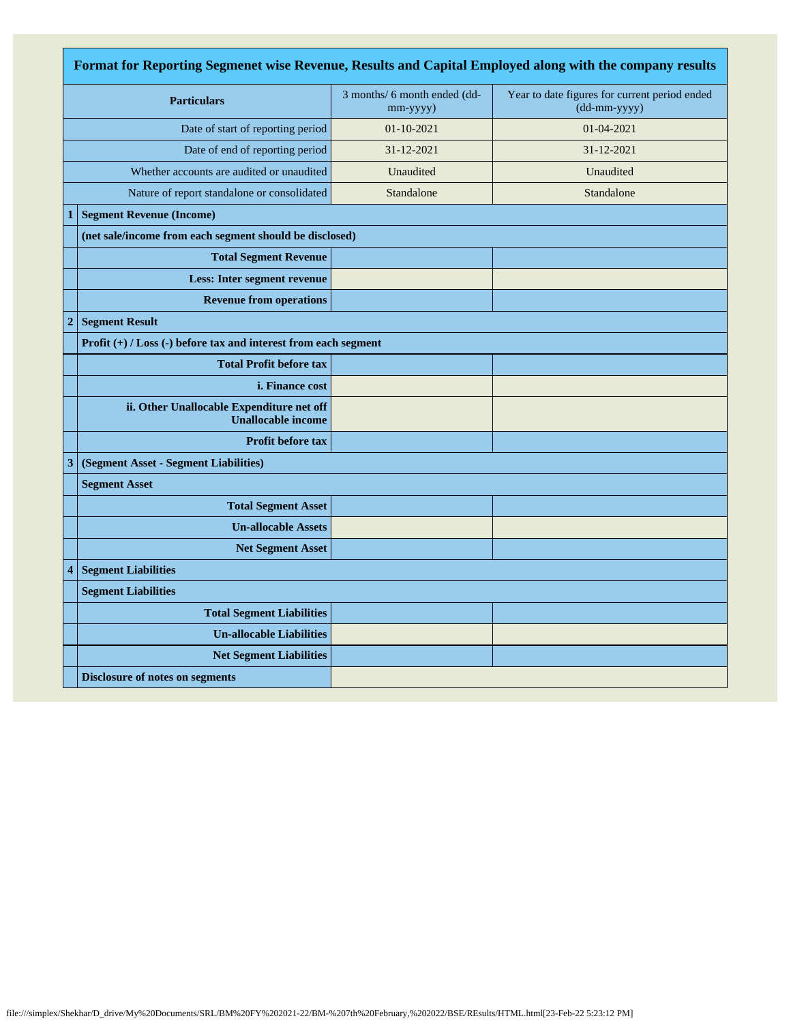| Format for Reporting Segmenet wise Revenue, Results and Capital Employed along with the company results |                                                                        |                                          |                                                               |
|---------------------------------------------------------------------------------------------------------|------------------------------------------------------------------------|------------------------------------------|---------------------------------------------------------------|
| <b>Particulars</b>                                                                                      |                                                                        | 3 months/ 6 month ended (dd-<br>mm-yyyy) | Year to date figures for current period ended<br>(dd-mm-yyyy) |
| Date of start of reporting period                                                                       |                                                                        | $01-10-2021$                             | 01-04-2021                                                    |
|                                                                                                         | Date of end of reporting period                                        | 31-12-2021                               | 31-12-2021                                                    |
|                                                                                                         | Whether accounts are audited or unaudited                              | Unaudited                                | Unaudited                                                     |
|                                                                                                         | Nature of report standalone or consolidated                            | Standalone                               | Standalone                                                    |
| 1                                                                                                       | <b>Segment Revenue (Income)</b>                                        |                                          |                                                               |
|                                                                                                         | (net sale/income from each segment should be disclosed)                |                                          |                                                               |
|                                                                                                         | <b>Total Segment Revenue</b>                                           |                                          |                                                               |
|                                                                                                         | <b>Less: Inter segment revenue</b>                                     |                                          |                                                               |
|                                                                                                         | <b>Revenue from operations</b>                                         |                                          |                                                               |
| $\overline{2}$                                                                                          | <b>Segment Result</b>                                                  |                                          |                                                               |
|                                                                                                         | Profit $(+)$ / Loss $(-)$ before tax and interest from each segment    |                                          |                                                               |
|                                                                                                         | <b>Total Profit before tax</b>                                         |                                          |                                                               |
|                                                                                                         | <i>i.</i> Finance cost                                                 |                                          |                                                               |
|                                                                                                         | ii. Other Unallocable Expenditure net off<br><b>Unallocable income</b> |                                          |                                                               |
|                                                                                                         | Profit before tax                                                      |                                          |                                                               |
| 3                                                                                                       | (Segment Asset - Segment Liabilities)                                  |                                          |                                                               |
|                                                                                                         | <b>Segment Asset</b>                                                   |                                          |                                                               |
|                                                                                                         | <b>Total Segment Asset</b>                                             |                                          |                                                               |
|                                                                                                         | <b>Un-allocable Assets</b>                                             |                                          |                                                               |
|                                                                                                         | <b>Net Segment Asset</b>                                               |                                          |                                                               |
| 4                                                                                                       | <b>Segment Liabilities</b>                                             |                                          |                                                               |
|                                                                                                         | <b>Segment Liabilities</b>                                             |                                          |                                                               |
|                                                                                                         | <b>Total Segment Liabilities</b>                                       |                                          |                                                               |
|                                                                                                         | <b>Un-allocable Liabilities</b>                                        |                                          |                                                               |
|                                                                                                         | <b>Net Segment Liabilities</b>                                         |                                          |                                                               |
|                                                                                                         | <b>Disclosure of notes on segments</b>                                 |                                          |                                                               |